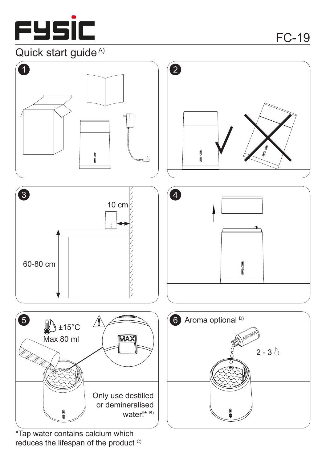

## Quick start guide<sup>A)</sup>



reduces the lifespan of the product C)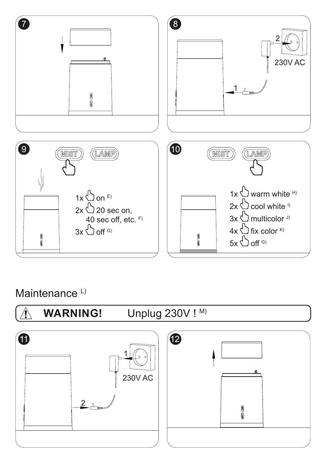

Maintenance<sup>L)</sup>

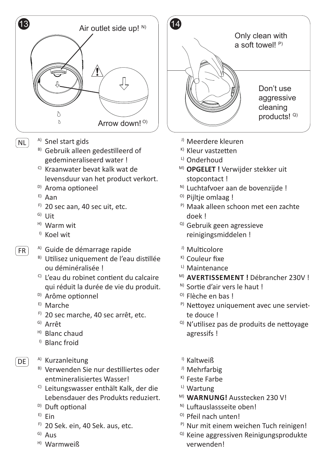

- <sup>A)</sup> Snel start gids NL
	- <sup>B)</sup> Gebruik alleen gedestilleerd of gedemineraliseerd water !
	- <sup>c)</sup> Kraanwater bevat kalk wat de levensduur van het product verkort.
	- <sup>D)</sup> Aroma optioneel
	- E) Aan
	- <sup>F)</sup> 20 sec aan, 40 sec uit, etc.
	- <sup>G)</sup> Uit
	- H) Warm wit
	- <sup><sub>1)</sup></sub> Koel wit</sup>
	- <sup>A)</sup> Guide de démarrage rapide
		- <sup>B)</sup> Utilisez uniquement de l'eau distillée ou déminéralisée !
		- <sup>c)</sup> L'eau du robinet contient du calcaire qui réduit la durée de vie du produit.
		- <sup>D)</sup> Arôme optionnel
		- <sup>E)</sup> Marche
		- <sup>F)</sup> 20 sec marche, 40 sec arrêt, etc.
		- <sup>G)</sup> Arrêt
		- <sup>H)</sup> Blanc chaud
		- <sup>1)</sup> Blanc froid
- $[DE]$

FR

- <sup>A)</sup> Kurzanleitung
- <sup>B)</sup> Verwenden Sie nur destilliertes oder entmineralisiertes Wasser!
- <sup>c)</sup> Leitungswasser enthält Kalk, der die Lebensdauer des Produkts reduziert.
- <sup>D)</sup> Duft optional
- <sup>E)</sup> Ein
- F) 20 Sek. ein, 40 Sek. aus, etc.
- <sup>G)</sup> Aus
- <sup>H)</sup> Warmweiß



- <sup>J)</sup> Meerdere kleuren
- <sup>K)</sup> Kleur vastzetten
- <sup>L)</sup> Onderhoud
- M) **OPGELET !** Verwijder stekker uit stopcontact !
- <sup>N)</sup> Luchtafvoer aan de bovenzijde !
- <sup>o)</sup> Pijltje omlaag !
- P) Maak alleen schoon met een zachte doek !
- <sup>Q)</sup> Gebruik geen agressieve reinigingsmiddelen !
- <sup>J)</sup> Multicolore
- <sup>K)</sup> Couleur fixe
- <sup>L)</sup> Maintenance
- M) **AVERTISSEMENT !** Débrancher 230V !
- <sup>N)</sup> Sortie d'air vers le haut !
- <sup>o)</sup> Flèche en bas !
- <sup>P)</sup> Nettoyez uniquement avec une serviette douce !
- <sup>Q)</sup> N'utilisez pas de produits de nettoyage agressifs !
- <sup>1)</sup> Kaltweiß
- <sup>J)</sup> Mehrfarbig
- <sup>K)</sup> Feste Farbe
- <sup>L)</sup> Wartung
- M) **WARNUNG!** Ausstecken 230 V!
- <sup>N)</sup> Luftauslassseite oben!
- <sup>o)</sup> Pfeil nach unten!
- <sup>P)</sup> Nur mit einem weichen Tuch reinigen!
- <sup>Q)</sup> Keine aggressiven Reinigungsprodukte verwenden!